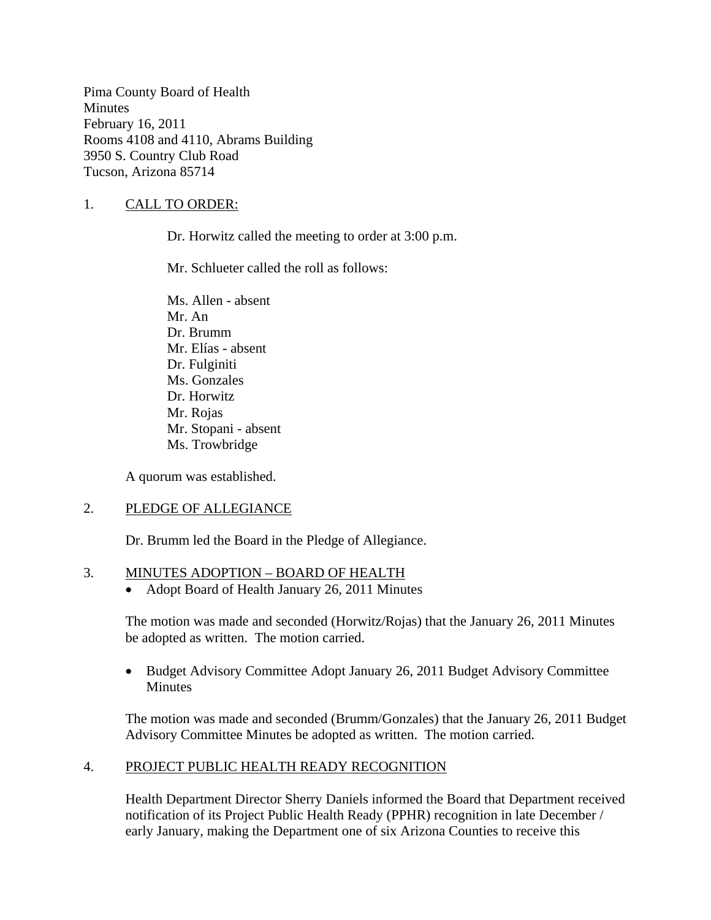Pima County Board of Health **Minutes** February 16, 2011 Rooms 4108 and 4110, Abrams Building 3950 S. Country Club Road Tucson, Arizona 85714

### 1. CALL TO ORDER:

Dr. Horwitz called the meeting to order at 3:00 p.m.

Mr. Schlueter called the roll as follows:

Ms. Allen - absent Mr. An Dr. Brumm Mr. Elías - absent Dr. Fulginiti Ms. Gonzales Dr. Horwitz Mr. Rojas Mr. Stopani - absent Ms. Trowbridge

A quorum was established.

#### 2. PLEDGE OF ALLEGIANCE

Dr. Brumm led the Board in the Pledge of Allegiance.

#### 3. MINUTES ADOPTION – BOARD OF HEALTH

• Adopt Board of Health January 26, 2011 Minutes

The motion was made and seconded (Horwitz/Rojas) that the January 26, 2011 Minutes be adopted as written. The motion carried.

• Budget Advisory Committee Adopt January 26, 2011 Budget Advisory Committee Minutes

The motion was made and seconded (Brumm/Gonzales) that the January 26, 2011 Budget Advisory Committee Minutes be adopted as written. The motion carried.

#### 4. PROJECT PUBLIC HEALTH READY RECOGNITION

Health Department Director Sherry Daniels informed the Board that Department received notification of its Project Public Health Ready (PPHR) recognition in late December / early January, making the Department one of six Arizona Counties to receive this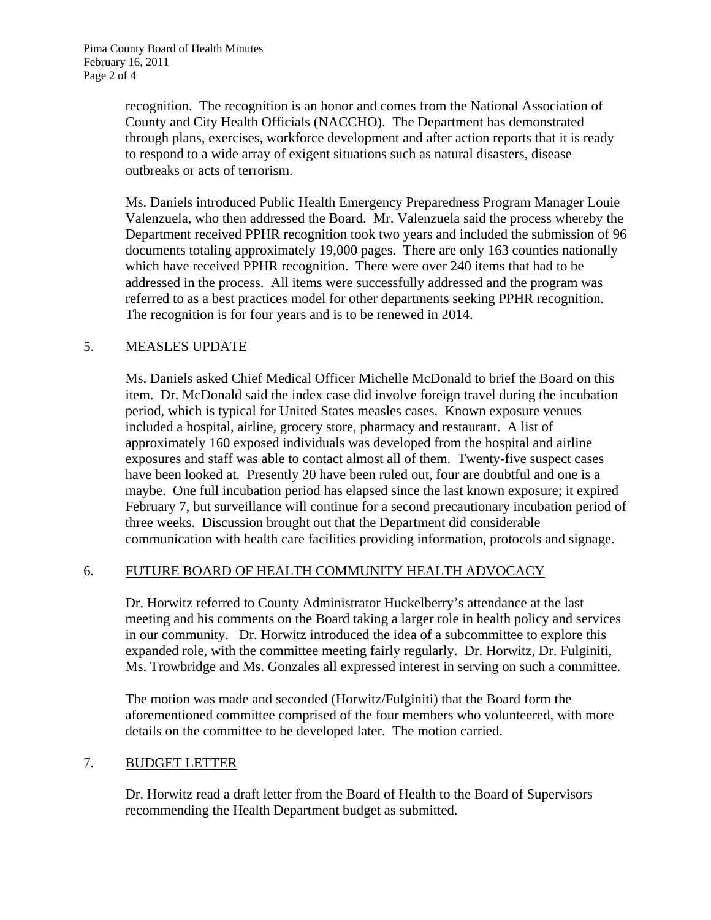recognition. The recognition is an honor and comes from the National Association of County and City Health Officials (NACCHO). The Department has demonstrated through plans, exercises, workforce development and after action reports that it is ready to respond to a wide array of exigent situations such as natural disasters, disease outbreaks or acts of terrorism.

Ms. Daniels introduced Public Health Emergency Preparedness Program Manager Louie Valenzuela, who then addressed the Board. Mr. Valenzuela said the process whereby the Department received PPHR recognition took two years and included the submission of 96 documents totaling approximately 19,000 pages. There are only 163 counties nationally which have received PPHR recognition. There were over 240 items that had to be addressed in the process. All items were successfully addressed and the program was referred to as a best practices model for other departments seeking PPHR recognition. The recognition is for four years and is to be renewed in 2014.

# 5. MEASLES UPDATE

Ms. Daniels asked Chief Medical Officer Michelle McDonald to brief the Board on this item. Dr. McDonald said the index case did involve foreign travel during the incubation period, which is typical for United States measles cases. Known exposure venues included a hospital, airline, grocery store, pharmacy and restaurant. A list of approximately 160 exposed individuals was developed from the hospital and airline exposures and staff was able to contact almost all of them. Twenty-five suspect cases have been looked at. Presently 20 have been ruled out, four are doubtful and one is a maybe. One full incubation period has elapsed since the last known exposure; it expired February 7, but surveillance will continue for a second precautionary incubation period of three weeks. Discussion brought out that the Department did considerable communication with health care facilities providing information, protocols and signage.

# 6. FUTURE BOARD OF HEALTH COMMUNITY HEALTH ADVOCACY

Dr. Horwitz referred to County Administrator Huckelberry's attendance at the last meeting and his comments on the Board taking a larger role in health policy and services in our community. Dr. Horwitz introduced the idea of a subcommittee to explore this expanded role, with the committee meeting fairly regularly. Dr. Horwitz, Dr. Fulginiti, Ms. Trowbridge and Ms. Gonzales all expressed interest in serving on such a committee.

The motion was made and seconded (Horwitz/Fulginiti) that the Board form the aforementioned committee comprised of the four members who volunteered, with more details on the committee to be developed later. The motion carried.

#### 7. BUDGET LETTER

Dr. Horwitz read a draft letter from the Board of Health to the Board of Supervisors recommending the Health Department budget as submitted.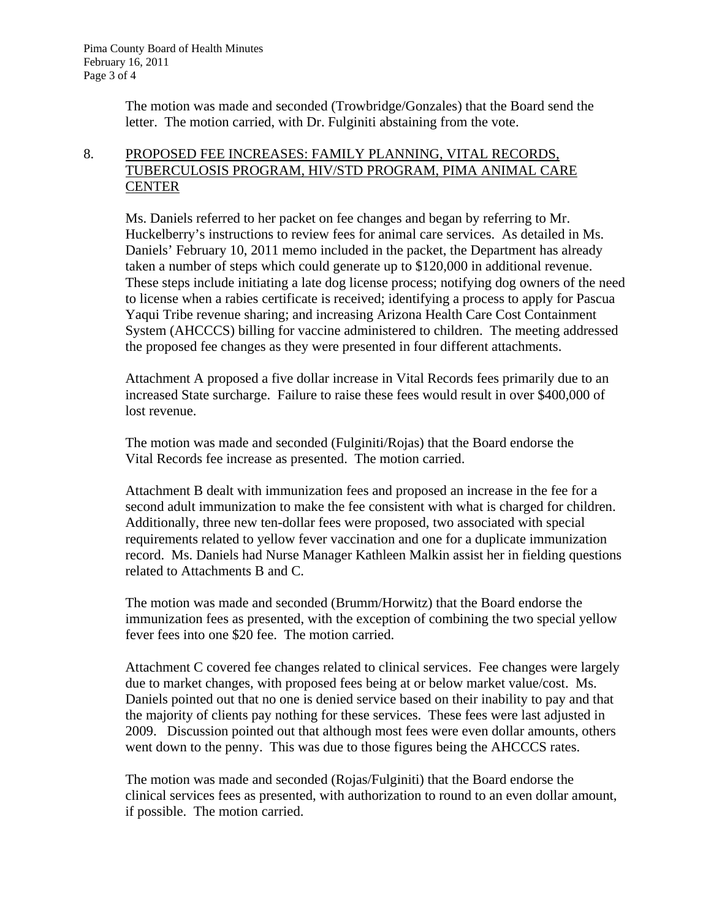The motion was made and seconded (Trowbridge/Gonzales) that the Board send the letter. The motion carried, with Dr. Fulginiti abstaining from the vote.

# 8. PROPOSED FEE INCREASES: FAMILY PLANNING, VITAL RECORDS, TUBERCULOSIS PROGRAM, HIV/STD PROGRAM, PIMA ANIMAL CARE **CENTER**

Ms. Daniels referred to her packet on fee changes and began by referring to Mr. Huckelberry's instructions to review fees for animal care services. As detailed in Ms. Daniels' February 10, 2011 memo included in the packet, the Department has already taken a number of steps which could generate up to \$120,000 in additional revenue. These steps include initiating a late dog license process; notifying dog owners of the need to license when a rabies certificate is received; identifying a process to apply for Pascua Yaqui Tribe revenue sharing; and increasing Arizona Health Care Cost Containment System (AHCCCS) billing for vaccine administered to children. The meeting addressed the proposed fee changes as they were presented in four different attachments.

Attachment A proposed a five dollar increase in Vital Records fees primarily due to an increased State surcharge. Failure to raise these fees would result in over \$400,000 of lost revenue.

The motion was made and seconded (Fulginiti/Rojas) that the Board endorse the Vital Records fee increase as presented. The motion carried.

Attachment B dealt with immunization fees and proposed an increase in the fee for a second adult immunization to make the fee consistent with what is charged for children. Additionally, three new ten-dollar fees were proposed, two associated with special requirements related to yellow fever vaccination and one for a duplicate immunization record. Ms. Daniels had Nurse Manager Kathleen Malkin assist her in fielding questions related to Attachments B and C.

The motion was made and seconded (Brumm/Horwitz) that the Board endorse the immunization fees as presented, with the exception of combining the two special yellow fever fees into one \$20 fee. The motion carried.

Attachment C covered fee changes related to clinical services. Fee changes were largely due to market changes, with proposed fees being at or below market value/cost. Ms. Daniels pointed out that no one is denied service based on their inability to pay and that the majority of clients pay nothing for these services. These fees were last adjusted in 2009. Discussion pointed out that although most fees were even dollar amounts, others went down to the penny. This was due to those figures being the AHCCCS rates.

The motion was made and seconded (Rojas/Fulginiti) that the Board endorse the clinical services fees as presented, with authorization to round to an even dollar amount, if possible. The motion carried.